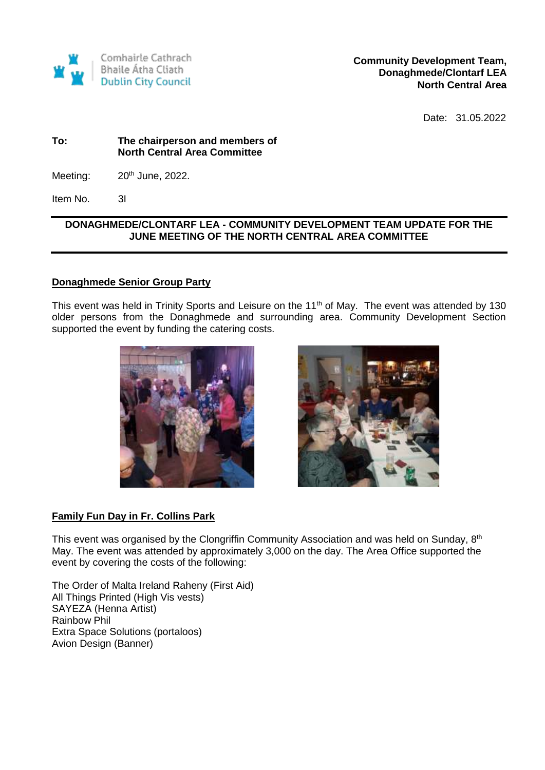

**Community Development Team, Donaghmede/Clontarf LEA North Central Area** 

Date: 31.05.2022

### **To: The chairperson and members of North Central Area Committee**

Meeting:  $20<sup>th</sup>$  June, 2022.

Item No. 3I

# **DONAGHMEDE/CLONTARF LEA - COMMUNITY DEVELOPMENT TEAM UPDATE FOR THE JUNE MEETING OF THE NORTH CENTRAL AREA COMMITTEE**

## **Donaghmede Senior Group Party**

This event was held in Trinity Sports and Leisure on the 11<sup>th</sup> of May. The event was attended by 130 older persons from the Donaghmede and surrounding area. Community Development Section supported the event by funding the catering costs.





## **Family Fun Day in Fr. Collins Park**

This event was organised by the Clongriffin Community Association and was held on Sunday,  $8<sup>th</sup>$ May. The event was attended by approximately 3,000 on the day. The Area Office supported the event by covering the costs of the following:

The Order of Malta Ireland Raheny (First Aid) All Things Printed (High Vis vests) SAYEZA (Henna Artist) Rainbow Phil Extra Space Solutions (portaloos) Avion Design (Banner)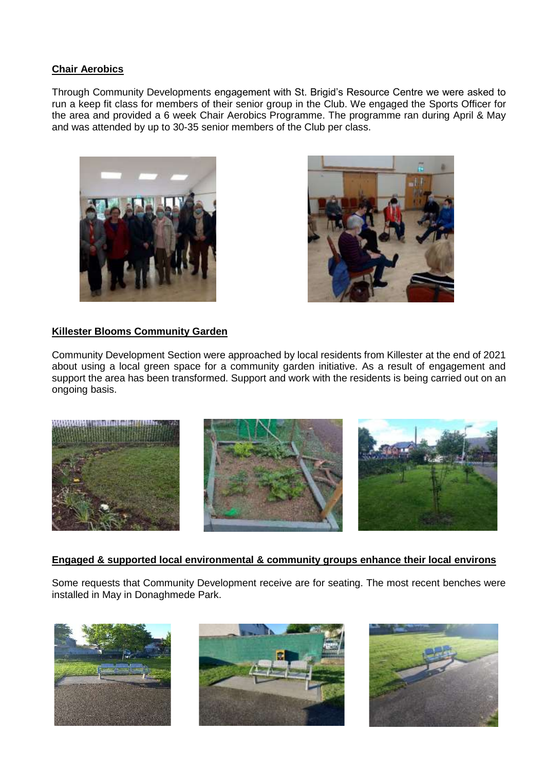## **Chair Aerobics**

Through Community Developments engagement with St. Brigid's Resource Centre we were asked to run a keep fit class for members of their senior group in the Club. We engaged the Sports Officer for the area and provided a 6 week Chair Aerobics Programme. The programme ran during April & May and was attended by up to 30-35 senior members of the Club per class.





## **Killester Blooms Community Garden**

Community Development Section were approached by local residents from Killester at the end of 2021 about using a local green space for a community garden initiative. As a result of engagement and support the area has been transformed. Support and work with the residents is being carried out on an ongoing basis.



## **Engaged & supported local environmental & community groups enhance their local environs**

Some requests that Community Development receive are for seating. The most recent benches were installed in May in Donaghmede Park.